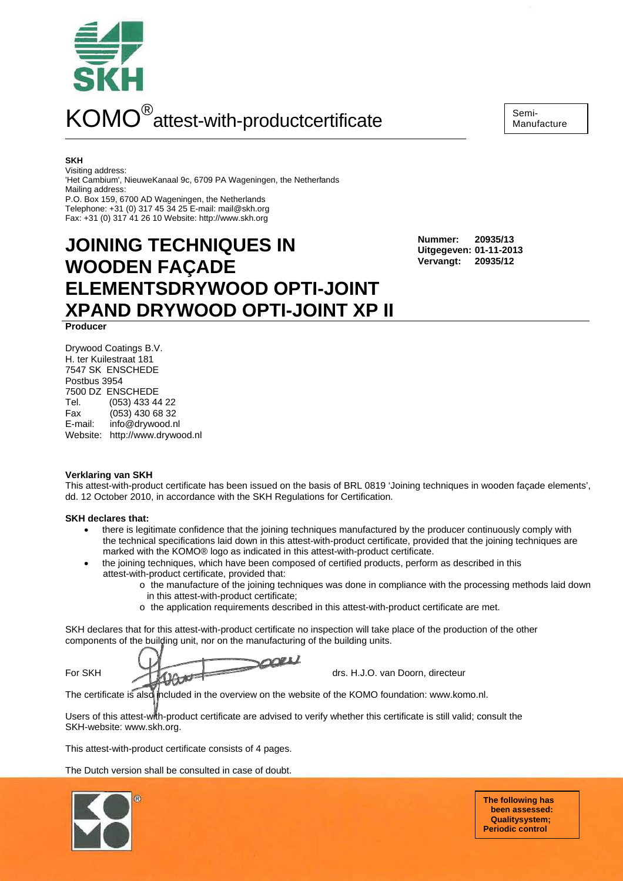

**SKH** 

Visiting address:

'Het Cambium', NieuweKanaal 9c, 6709 PA Wageningen, the Netherlands Mailing address:

P.O. Box 159, 6700 AD Wageningen, the Netherlands Telephone: +31 (0) 317 45 34 25 E-mail: mail@skh.org Fax: +31 (0) 317 41 26 10 Website: http://www.skh.org

# **JOINING TECHNIQUES IN WOODEN FAÇADE ELEMENTSDRYWOOD OPTI-JOINT XPAND DRYWOOD OPTI-JOINT XP II**

**Nummer: 20935/13 Uitgegeven: 01-11-2013 Vervangt: 20935/12**

**Producer**

Drywood Coatings B.V. H. ter Kuilestraat 181 7547 SK ENSCHEDE Postbus 3954 7500 DZ ENSCHEDE Tel. (053) 433 44 22 Fax (053) 430 68 32 E-mail: info@drywood.nl Website: http://www.drywood.nl

## **Verklaring van SKH**

This attest-with-product certificate has been issued on the basis of BRL 0819 'Joining techniques in wooden façade elements', dd. 12 October 2010, in accordance with the SKH Regulations for Certification.

# **SKH declares that:**

- there is legitimate confidence that the joining techniques manufactured by the producer continuously comply with the technical specifications laid down in this attest-with-product certificate, provided that the joining techniques are marked with the KOMO® logo as indicated in this attest-with-product certificate.
- the joining techniques, which have been composed of certified products, perform as described in this attest-with-product certificate, provided that:
	- o the manufacture of the joining techniques was done in compliance with the processing methods laid down in this attest-with-product certificate;
		- o the application requirements described in this attest-with-product certificate are met.

SKH declares that for this attest-with-product certificate no inspection will take place of the production of the other components of the building unit, nor on the manufacturing of the building units.

For SKH **drs. H.J.O. van Doorn, directeur** 

The certificate is also included in the overview on the website of the KOMO foundation: www.komo.nl.

Users of this attest-with-product certificate are advised to verify whether this certificate is still valid; consult the SKH-website: www.skh.org.

This attest-with-product certificate consists of 4 pages.

The Dutch version shall be consulted in case of doubt.



**The following has been assessed: Qualitysystem; Periodic control**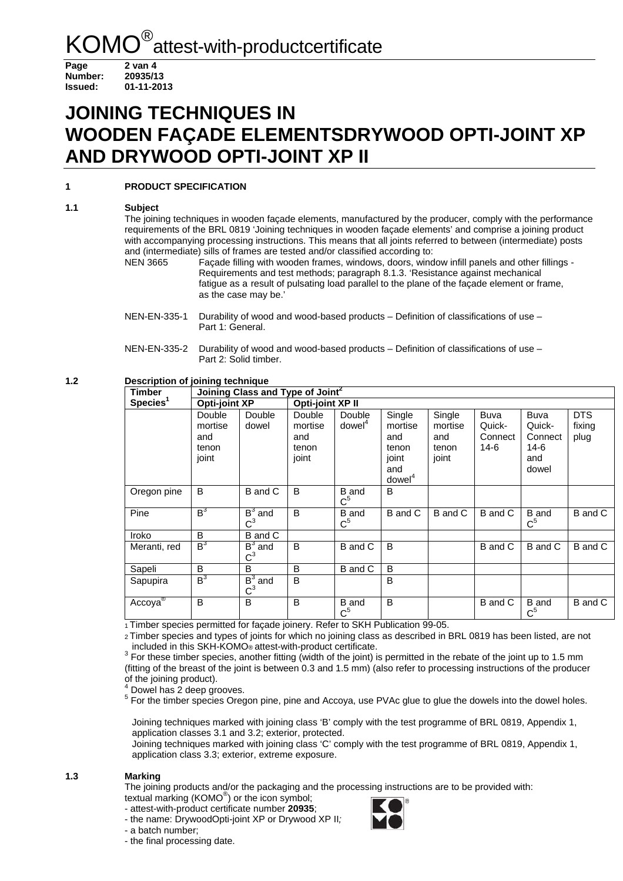Page 2 van 4 **Number: 20935/13 Issued: 01-11-2013**

# **JOINING TECHNIQUES IN WOODEN FAÇADE ELEMENTSDRYWOOD OPTI-JOINT XP AND DRYWOOD OPTI-JOINT XP II**

# **1 PRODUCT SPECIFICATION**

# **1.1 Subject**

The joining techniques in wooden façade elements, manufactured by the producer, comply with the performance requirements of the BRL 0819 'Joining techniques in wooden façade elements' and comprise a joining product with accompanying processing instructions. This means that all joints referred to between (intermediate) posts and (intermediate) sills of frames are tested and/or classified according to:

NEN 3665 Façade filling with wooden frames, windows, doors, window infill panels and other fillings - Requirements and test methods; paragraph 8.1.3. 'Resistance against mechanical fatigue as a result of pulsating load parallel to the plane of the façade element or frame, as the case may be.'

**1.2 Description of joining technique** 

| <b>Timber</b>        | Joining Class and Type of Joint <sup>2</sup> |                               |                                            |                               |                                                                          |                                            |                                            |                                                          |                              |  |  |
|----------------------|----------------------------------------------|-------------------------------|--------------------------------------------|-------------------------------|--------------------------------------------------------------------------|--------------------------------------------|--------------------------------------------|----------------------------------------------------------|------------------------------|--|--|
| Species <sup>1</sup> | <b>Opti-joint XP</b>                         |                               | Opti-joint XP II                           |                               |                                                                          |                                            |                                            |                                                          |                              |  |  |
|                      | Double<br>mortise<br>and<br>tenon<br>joint   | Double<br>dowel               | Double<br>mortise<br>and<br>tenon<br>joint | Double<br>downel <sup>4</sup> | Single<br>mortise<br>and<br>tenon<br>joint<br>and<br>downel <sup>4</sup> | Single<br>mortise<br>and<br>tenon<br>joint | <b>Buva</b><br>Quick-<br>Connect<br>$14-6$ | <b>Buva</b><br>Quick-<br>Connect<br>14-6<br>and<br>dowel | <b>DTS</b><br>fixing<br>plug |  |  |
| Oregon pine          | B                                            | B and C                       | B                                          | B and<br>$\rm C^5$            | B                                                                        |                                            |                                            |                                                          |                              |  |  |
| Pine                 | B <sup>3</sup>                               | $\overline{B^3}$ and<br>$C^3$ | B                                          | <b>B</b> and<br>$C^5$         | B and C                                                                  | B and C                                    | B and C                                    | B and<br>$C^5$                                           | B and C                      |  |  |
| Iroko                | B                                            | B and C                       |                                            |                               |                                                                          |                                            |                                            |                                                          |                              |  |  |
| Meranti, red         | B <sup>3</sup>                               | $B^3$ and<br>$\mathsf{C}^3$   | B                                          | B and C                       | B                                                                        |                                            | B and C                                    | B and C                                                  | B and C                      |  |  |
| Sapeli               | B                                            | B                             | в                                          | B and C                       | B                                                                        |                                            |                                            |                                                          |                              |  |  |
| Sapupira             | $B_3$                                        | $B^3$ and<br>$C^3$            | B                                          |                               | B                                                                        |                                            |                                            |                                                          |                              |  |  |
| Accoya®              | B                                            | B                             | B                                          | <b>B</b> and<br>$C^5$         | B                                                                        |                                            | B and C                                    | <b>B</b> and<br>$C^5$                                    | B and C                      |  |  |

1 Timber species permitted for façade joinery. Refer to SKH Publication 99-05.

 2 Timber species and types of joints for which no joining class as described in BRL 0819 has been listed, are not included in this SKH-KOMO® attest-with-product certificate. 3

<sup>3</sup> For these timber species, another fitting (width of the joint) is permitted in the rebate of the joint up to 1.5 mm (fitting of the breast of the joint is between 0.3 and 1.5 mm) (also refer to processing instructions of the producer of the joining product).<br><sup>4</sup> Dougl bes 3 deep are

Dowel has 2 deep grooves.

<sup>5</sup> For the timber species Oregon pine, pine and Accoya, use PVAc glue to glue the dowels into the dowel holes.

Joining techniques marked with joining class 'B' comply with the test programme of BRL 0819, Appendix 1, application classes 3.1 and 3.2; exterior, protected.

Joining techniques marked with joining class 'C' comply with the test programme of BRL 0819, Appendix 1, application class 3.3; exterior, extreme exposure.

## **1.3 Marking**

The joining products and/or the packaging and the processing instructions are to be provided with: textual marking (KOMO® ) or the icon symbol;

- attest-with-product certificate number **20935**;

- the name: DrywoodOpti-joint XP or Drywood XP II;

- a batch number;

- the final processing date.



NEN-EN-335-1 Durability of wood and wood-based products – Definition of classifications of use – Part 1: General.

NEN-EN-335-2 Durability of wood and wood-based products – Definition of classifications of use – Part 2: Solid timber.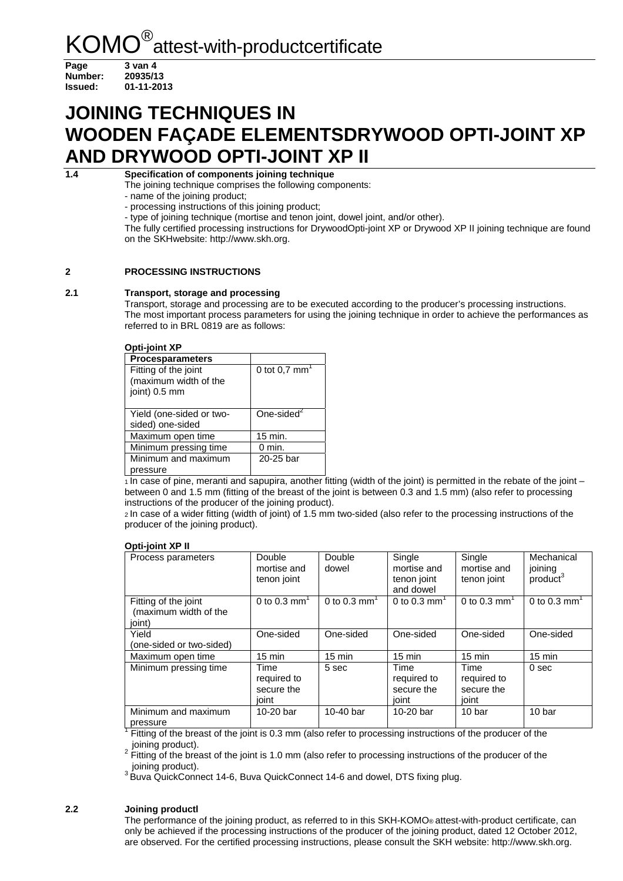Page 3 van 4 **Number: 20935/13 Issued: 01-11-2013**

# **JOINING TECHNIQUES IN WOODEN FAÇADE ELEMENTSDRYWOOD OPTI-JOINT XP AND DRYWOOD OPTI-JOINT XP II**

**1.4 Specification of components joining technique** 

The joining technique comprises the following components:

- name of the joining product;

- processing instructions of this joining product;

- type of joining technique (mortise and tenon joint, dowel joint, and/or other).

The fully certified processing instructions for DrywoodOpti-joint XP or Drywood XP II joining technique are found on the SKHwebsite: http://www.skh.org.

# **2 PROCESSING INSTRUCTIONS**

## **2.1 Transport, storage and processing**

Transport, storage and processing are to be executed according to the producer's processing instructions. The most important process parameters for using the joining technique in order to achieve the performances as referred to in BRL 0819 are as follows:

#### **Opti-joint XP**

| <b>Procesparameters</b>                                        |                             |
|----------------------------------------------------------------|-----------------------------|
| Fitting of the joint<br>(maximum width of the<br>joint) 0.5 mm | 0 tot $0.7$ mm <sup>1</sup> |
| Yield (one-sided or two-<br>sided) one-sided                   | One-sided <sup>2</sup>      |
| Maximum open time                                              | 15 min.                     |
| Minimum pressing time                                          | $0 \text{ min.}$            |
| Minimum and maximum<br>pressure                                | 20-25 bar                   |

 $1$ In case of pine, meranti and sapupira, another fitting (width of the joint) is permitted in the rebate of the joint – between 0 and 1.5 mm (fitting of the breast of the joint is between 0.3 and 1.5 mm) (also refer to processing instructions of the producer of the joining product).

2 In case of a wider fitting (width of joint) of 1.5 mm two-sided (also refer to the processing instructions of the producer of the joining product).

#### **Opti-joint XP II**

| Process parameters                                      | Double<br>mortise and<br>tenon joint       | Double<br>dowel  | Single<br>mortise and<br>tenon joint<br>and dowel | Single<br>mortise and<br>tenon joint       | Mechanical<br>joining<br>product <sup>3</sup> |
|---------------------------------------------------------|--------------------------------------------|------------------|---------------------------------------------------|--------------------------------------------|-----------------------------------------------|
| Fitting of the joint<br>(maximum width of the<br>joint) | 0 to 0.3 mm <sup>1</sup>                   | 0 to 0.3 $mm'$   | 0 to 0.3 $mm1$                                    | 0 to 0.3 $mm1$                             | 0 to 0.3 $mm1$                                |
| Yield<br>(one-sided or two-sided)                       | One-sided                                  | One-sided        | One-sided                                         | One-sided                                  | One-sided                                     |
| Maximum open time                                       | $15 \text{ min}$                           | $15 \text{ min}$ | $15 \text{ min}$                                  | $15 \text{ min}$                           | $15 \text{ min}$                              |
| Minimum pressing time                                   | Time<br>required to<br>secure the<br>joint | 5 sec            | Time<br>required to<br>secure the<br>ioint        | Time<br>required to<br>secure the<br>joint | 0 <sub>sec</sub>                              |
| Minimum and maximum<br>pressure                         | 10-20 bar                                  | 10-40 bar        | 10-20 bar                                         | 10 bar                                     | 10 bar                                        |

<sup>1</sup> Fitting of the breast of the joint is 0.3 mm (also refer to processing instructions of the producer of the joining product).

 $2^{2}$  Fitting of the breast of the joint is 1.0 mm (also refer to processing instructions of the producer of the joining product).

<sup>3</sup> Buva QuickConnect 14-6, Buva QuickConnect 14-6 and dowel, DTS fixing plug.

## **2.2 Joining productl**

The performance of the joining product, as referred to in this SKH-KOMO® attest-with-product certificate, can only be achieved if the processing instructions of the producer of the joining product, dated 12 October 2012, are observed. For the certified processing instructions, please consult the SKH website: http://www.skh.org.